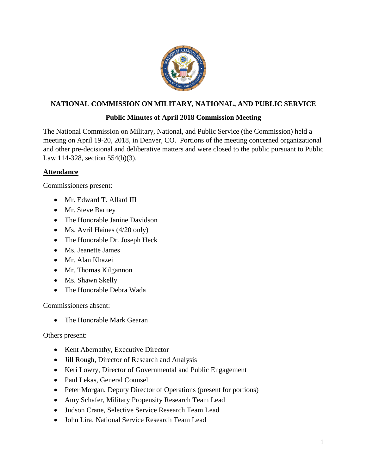

# **NATIONAL COMMISSION ON MILITARY, NATIONAL, AND PUBLIC SERVICE**

# **Public Minutes of April 2018 Commission Meeting**

The National Commission on Military, National, and Public Service (the Commission) held a meeting on April 19-20, 2018, in Denver, CO. Portions of the meeting concerned organizational and other pre-decisional and deliberative matters and were closed to the public pursuant to Public Law 114-328, section 554(b)(3).

### **Attendance**

Commissioners present:

- Mr. Edward T. Allard III
- Mr. Steve Barney
- The Honorable Janine Davidson
- Ms. Avril Haines (4/20 only)
- The Honorable Dr. Joseph Heck
- Ms. Jeanette James
- Mr. Alan Khazei
- Mr. Thomas Kilgannon
- Ms. Shawn Skelly
- The Honorable Debra Wada

Commissioners absent:

• The Honorable Mark Gearan

Others present:

- Kent Abernathy, Executive Director
- Jill Rough, Director of Research and Analysis
- Keri Lowry, Director of Governmental and Public Engagement
- Paul Lekas, General Counsel
- Peter Morgan, Deputy Director of Operations (present for portions)
- Amy Schafer, Military Propensity Research Team Lead
- Judson Crane, Selective Service Research Team Lead
- John Lira, National Service Research Team Lead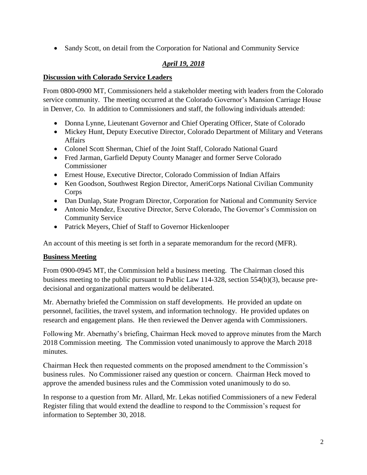• Sandy Scott, on detail from the Corporation for National and Community Service

# *April 19, 2018*

### **Discussion with Colorado Service Leaders**

From 0800-0900 MT, Commissioners held a stakeholder meeting with leaders from the Colorado service community. The meeting occurred at the Colorado Governor's Mansion Carriage House in Denver, Co. In addition to Commissioners and staff, the following individuals attended:

- Donna Lynne, Lieutenant Governor and Chief Operating Officer, State of Colorado
- Mickey Hunt, Deputy Executive Director, Colorado Department of Military and Veterans Affairs
- Colonel Scott Sherman, Chief of the Joint Staff, Colorado National Guard
- Fred Jarman, Garfield Deputy County Manager and former Serve Colorado Commissioner
- Ernest House, Executive Director, Colorado Commission of Indian Affairs
- Ken Goodson, Southwest Region Director, AmeriCorps National Civilian Community Corps
- Dan Dunlap, State Program Director, Corporation for National and Community Service
- Antonio Mendez, Executive Director, Serve Colorado, The Governor's Commission on Community Service
- Patrick Meyers, Chief of Staff to Governor Hickenlooper

An account of this meeting is set forth in a separate memorandum for the record (MFR).

# **Business Meeting**

From 0900-0945 MT, the Commission held a business meeting. The Chairman closed this business meeting to the public pursuant to Public Law 114-328, section 554(b)(3), because predecisional and organizational matters would be deliberated.

Mr. Abernathy briefed the Commission on staff developments. He provided an update on personnel, facilities, the travel system, and information technology. He provided updates on research and engagement plans. He then reviewed the Denver agenda with Commissioners.

Following Mr. Abernathy's briefing, Chairman Heck moved to approve minutes from the March 2018 Commission meeting. The Commission voted unanimously to approve the March 2018 minutes.

Chairman Heck then requested comments on the proposed amendment to the Commission's business rules. No Commissioner raised any question or concern. Chairman Heck moved to approve the amended business rules and the Commission voted unanimously to do so.

In response to a question from Mr. Allard, Mr. Lekas notified Commissioners of a new Federal Register filing that would extend the deadline to respond to the Commission's request for information to September 30, 2018.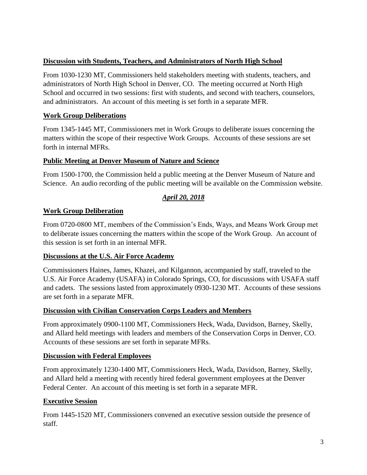### **Discussion with Students, Teachers, and Administrators of North High School**

From 1030-1230 MT, Commissioners held stakeholders meeting with students, teachers, and administrators of North High School in Denver, CO. The meeting occurred at North High School and occurred in two sessions: first with students, and second with teachers, counselors, and administrators. An account of this meeting is set forth in a separate MFR.

### **Work Group Deliberations**

From 1345-1445 MT, Commissioners met in Work Groups to deliberate issues concerning the matters within the scope of their respective Work Groups. Accounts of these sessions are set forth in internal MFRs.

#### **Public Meeting at Denver Museum of Nature and Science**

From 1500-1700, the Commission held a public meeting at the Denver Museum of Nature and Science. An audio recording of the public meeting will be available on the Commission website.

# *April 20, 2018*

# **Work Group Deliberation**

From 0720-0800 MT, members of the Commission's Ends, Ways, and Means Work Group met to deliberate issues concerning the matters within the scope of the Work Group. An account of this session is set forth in an internal MFR.

#### **Discussions at the U.S. Air Force Academy**

Commissioners Haines, James, Khazei, and Kilgannon, accompanied by staff, traveled to the U.S. Air Force Academy (USAFA) in Colorado Springs, CO, for discussions with USAFA staff and cadets. The sessions lasted from approximately 0930-1230 MT. Accounts of these sessions are set forth in a separate MFR.

#### **Discussion with Civilian Conservation Corps Leaders and Members**

From approximately 0900-1100 MT, Commissioners Heck, Wada, Davidson, Barney, Skelly, and Allard held meetings with leaders and members of the Conservation Corps in Denver, CO. Accounts of these sessions are set forth in separate MFRs.

#### **Discussion with Federal Employees**

From approximately 1230-1400 MT, Commissioners Heck, Wada, Davidson, Barney, Skelly, and Allard held a meeting with recently hired federal government employees at the Denver Federal Center. An account of this meeting is set forth in a separate MFR.

#### **Executive Session**

From 1445-1520 MT, Commissioners convened an executive session outside the presence of staff.